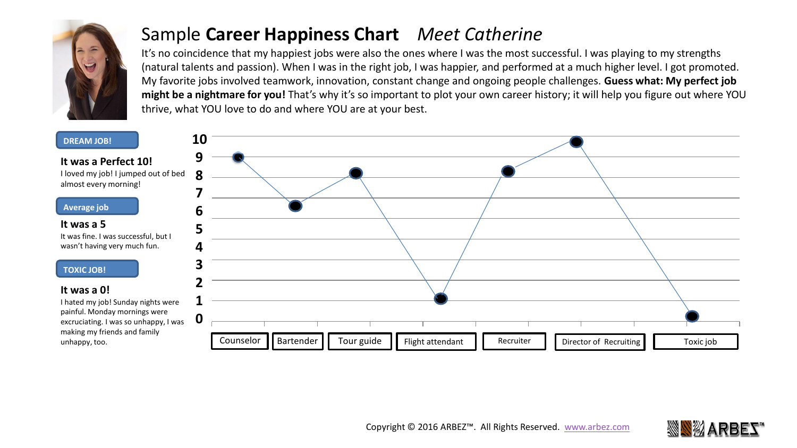

### Sample **Career Happiness Chart** *Meet Catherine*

It's no coincidence that my happiest jobs were also the ones where I was the most successful. I was playing to my strengths (natural talents and passion). When I was in the right job, I was happier, and performed at a much higher level. I got promoted. My favorite jobs involved teamwork, innovation, constant change and ongoing people challenges. **Guess what: My perfect job might be a nightmare for you!** That's why it's so important to plot your own career history; it will help you figure out where YOU thrive, what YOU love to do and where YOU are at your best.

#### **DREAM JOB!**

**It was a Perfect 10!** I loved my job! I jumped out of bed almost every morning!

#### **Average job**

**It was a 5**  It was fine. I was successful, but I wasn't having very much fun.

#### **TOXIC JOB!**

#### **It was a 0!**

I hated my job! Sunday nights were painful. Monday mornings were excruciating. I was so unhappy, I was making my friends and family





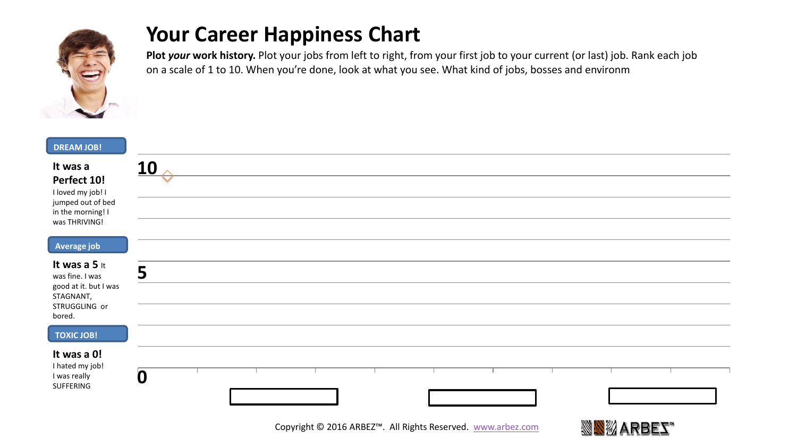

## **Your Career Happiness Chart**

**Plot** *your* **work history.** Plot your jobs from left to right, from your first job to your current (or last) job. Rank each job on a scale of 1 to 10. When you're done, look at what you see. What kind of jobs, bosses and environm

| <b>DREAM JOB!</b>                                                                                       |        |
|---------------------------------------------------------------------------------------------------------|--------|
| It was a<br>Perfect 10!<br>I loved my job! I<br>jumped out of bed<br>in the morning! I<br>was THRIVING! | 10     |
|                                                                                                         |        |
| Average job                                                                                             |        |
| It was a 5 it<br>was fine. I was<br>good at it. but I was<br>STAGNANT,<br>STRUGGLING or<br>bored.       | Г<br>J |
|                                                                                                         |        |
| <b>TOXIC JOB!</b>                                                                                       |        |
| It was a 0!<br>I hated my job!<br>I was really<br>SUFFERING                                             | 0      |

Copyright © 2016 ARBEZ™. All Rights Reserved. [www.arbez.com](http://www.arbez.com/)